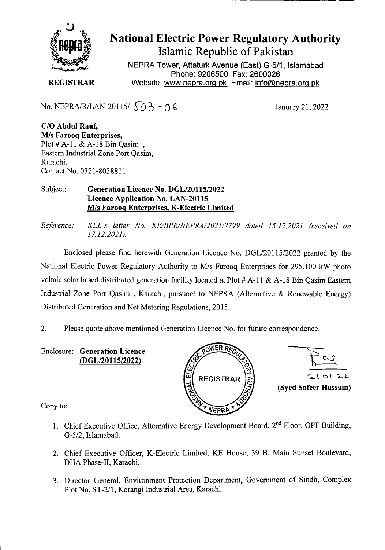

# National Electric Power Regulatory Authority Islamic Republic of Pakistan

NEPRA Tower, Attaturk Avenue (East) G-511, Islamabad Phone: 9206500, Fax: 2600026 **REGISTRAR** Website: www.nepra.org.pk, Email: info@nepra.org.pk

No. NEPRA/R/LAN-20115/  $\{0\}$  - 0 6 January 21, 2022

**C/O Abdul Rauf, M/s Farooq Enterprises,**  Plot # A-11 & A-18 Bin Qasim, Eastern Industrial Zone Port Qasim, Karachi. Contact No. 0321-8038811

#### Subject: **Generation Licence No. DGL/20115/2022 Licence Application No. LAN-20115 MIs Farooq Enterprises, K-Electric Limited**

*Reference: KEL 's letter No. KE/BPR/NEPRA/2021/2799 dated 15.12.2021 (received on 17.12.2021).* 

Enclosed please find herewith Generation Licence No. DGL/20115/2022 granted by the National Electric Power Regulatory Authority to M/s Farooq Enterprises for 295,100 kW photo voltaic solar based distributed generation facility located at Plot # A-11 & A-18 Bin Oasim Eastern Industrial Zone Port Qasim , Karachi, pursuant to NEPRA (Alternative & Renewable Energy) Distributed Generation and Net Metering Regulations, 2015.

- 2. Please quote above mentioned Generation Licence No. for future correspondence.
- Enclosure: **Generation Licence (DGL/20115/2022)**





Copy to:

- 1. Chief Executive Office, Alternative Energy Development Board, 2<sup>nd</sup> Floor, OPF Building, G-5/2, Islamabad.
- 2. Chief Executive Officer, K-Electric Limited, KE House, 39 B, Main Sunset Boulevard, DHA Phase-Il, Karachi.
- 3. Director General, Environment Protection Department, Government of Sindh, Complex Plot No. ST-2/1, Korangi Industrial Area. Karachi.